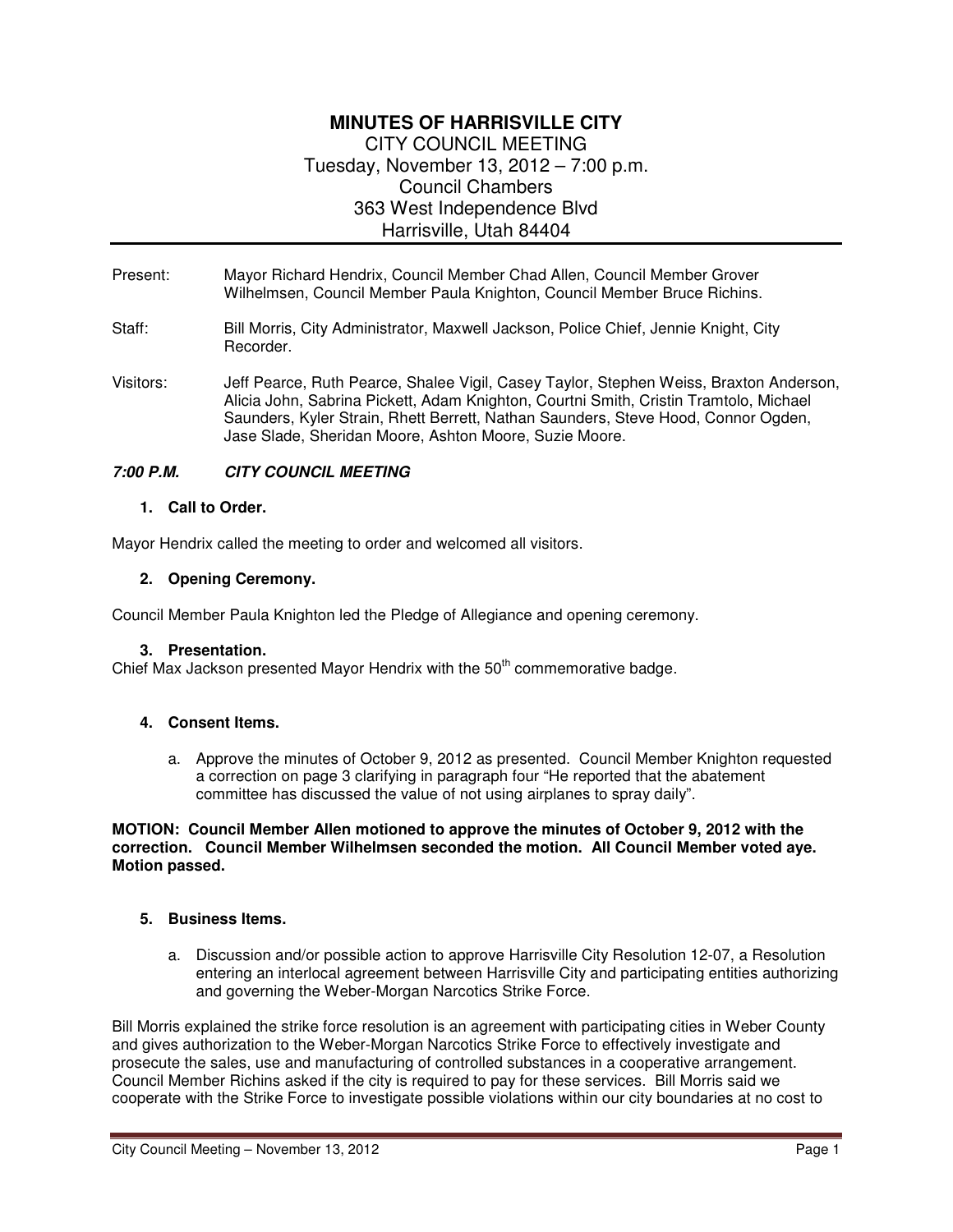# **MINUTES OF HARRISVILLE CITY**  CITY COUNCIL MEETING Tuesday, November 13, 2012 – 7:00 p.m. Council Chambers 363 West Independence Blvd Harrisville, Utah 84404

- Present: Mayor Richard Hendrix, Council Member Chad Allen, Council Member Grover Wilhelmsen, Council Member Paula Knighton, Council Member Bruce Richins.
- Staff: Bill Morris, City Administrator, Maxwell Jackson, Police Chief, Jennie Knight, City Recorder.
- Visitors: Jeff Pearce, Ruth Pearce, Shalee Vigil, Casey Taylor, Stephen Weiss, Braxton Anderson, Alicia John, Sabrina Pickett, Adam Knighton, Courtni Smith, Cristin Tramtolo, Michael Saunders, Kyler Strain, Rhett Berrett, Nathan Saunders, Steve Hood, Connor Ogden, Jase Slade, Sheridan Moore, Ashton Moore, Suzie Moore.

## **7:00 P.M. CITY COUNCIL MEETING**

#### **1. Call to Order.**

Mayor Hendrix called the meeting to order and welcomed all visitors.

#### **2. Opening Ceremony.**

Council Member Paula Knighton led the Pledge of Allegiance and opening ceremony.

#### **3. Presentation.**

Chief Max Jackson presented Mayor Hendrix with the  $50<sup>th</sup>$  commemorative badge.

## **4. Consent Items.**

a. Approve the minutes of October 9, 2012 as presented. Council Member Knighton requested a correction on page 3 clarifying in paragraph four "He reported that the abatement committee has discussed the value of not using airplanes to spray daily".

#### **MOTION: Council Member Allen motioned to approve the minutes of October 9, 2012 with the correction. Council Member Wilhelmsen seconded the motion. All Council Member voted aye. Motion passed.**

#### **5. Business Items.**

a. Discussion and/or possible action to approve Harrisville City Resolution 12-07, a Resolution entering an interlocal agreement between Harrisville City and participating entities authorizing and governing the Weber-Morgan Narcotics Strike Force.

Bill Morris explained the strike force resolution is an agreement with participating cities in Weber County and gives authorization to the Weber-Morgan Narcotics Strike Force to effectively investigate and prosecute the sales, use and manufacturing of controlled substances in a cooperative arrangement. Council Member Richins asked if the city is required to pay for these services. Bill Morris said we cooperate with the Strike Force to investigate possible violations within our city boundaries at no cost to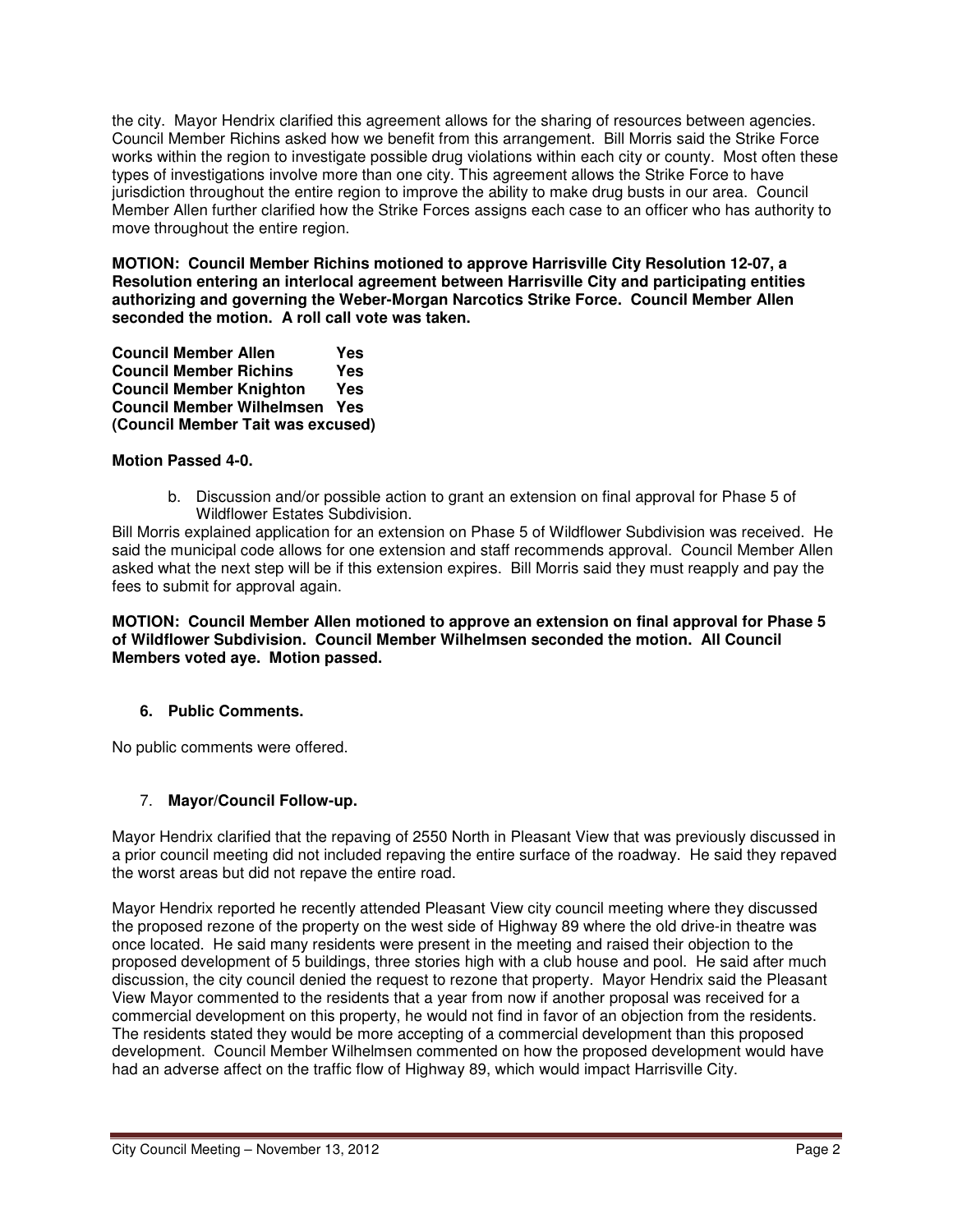the city. Mayor Hendrix clarified this agreement allows for the sharing of resources between agencies. Council Member Richins asked how we benefit from this arrangement. Bill Morris said the Strike Force works within the region to investigate possible drug violations within each city or county. Most often these types of investigations involve more than one city. This agreement allows the Strike Force to have jurisdiction throughout the entire region to improve the ability to make drug busts in our area. Council Member Allen further clarified how the Strike Forces assigns each case to an officer who has authority to move throughout the entire region.

**MOTION: Council Member Richins motioned to approve Harrisville City Resolution 12-07, a Resolution entering an interlocal agreement between Harrisville City and participating entities authorizing and governing the Weber-Morgan Narcotics Strike Force. Council Member Allen seconded the motion. A roll call vote was taken.** 

**Council Member Allen Yes Council Member Richins Yes Council Member Knighton Yes Council Member Wilhelmsen Yes (Council Member Tait was excused)** 

## **Motion Passed 4-0.**

b. Discussion and/or possible action to grant an extension on final approval for Phase 5 of Wildflower Estates Subdivision.

Bill Morris explained application for an extension on Phase 5 of Wildflower Subdivision was received. He said the municipal code allows for one extension and staff recommends approval. Council Member Allen asked what the next step will be if this extension expires. Bill Morris said they must reapply and pay the fees to submit for approval again.

**MOTION: Council Member Allen motioned to approve an extension on final approval for Phase 5 of Wildflower Subdivision. Council Member Wilhelmsen seconded the motion. All Council Members voted aye. Motion passed.** 

## **6. Public Comments.**

No public comments were offered.

## 7. **Mayor/Council Follow-up.**

Mayor Hendrix clarified that the repaving of 2550 North in Pleasant View that was previously discussed in a prior council meeting did not included repaving the entire surface of the roadway. He said they repaved the worst areas but did not repave the entire road.

Mayor Hendrix reported he recently attended Pleasant View city council meeting where they discussed the proposed rezone of the property on the west side of Highway 89 where the old drive-in theatre was once located. He said many residents were present in the meeting and raised their objection to the proposed development of 5 buildings, three stories high with a club house and pool. He said after much discussion, the city council denied the request to rezone that property. Mayor Hendrix said the Pleasant View Mayor commented to the residents that a year from now if another proposal was received for a commercial development on this property, he would not find in favor of an objection from the residents. The residents stated they would be more accepting of a commercial development than this proposed development. Council Member Wilhelmsen commented on how the proposed development would have had an adverse affect on the traffic flow of Highway 89, which would impact Harrisville City.